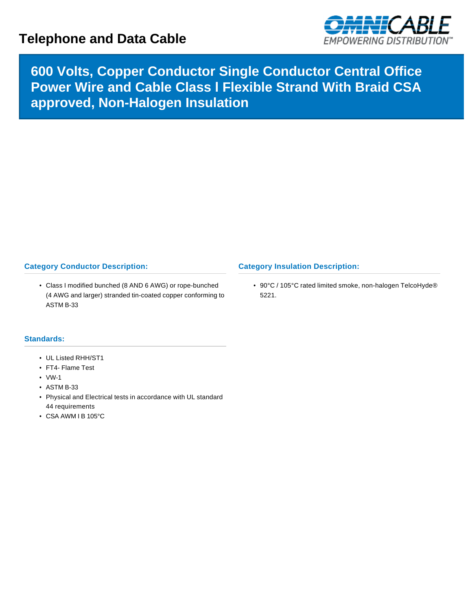## **Telephone and Data Cable**



**600 Volts, Copper Conductor Single Conductor Central Office Power Wire and Cable Class l Flexible Strand With Braid CSA approved, Non-Halogen Insulation**

## **Category Conductor Description:**

• Class I modified bunched (8 AND 6 AWG) or rope-bunched (4 AWG and larger) stranded tin-coated copper conforming to ASTM B-33

## **Category Insulation Description:**

• 90°C / 105°C rated limited smoke, non-halogen TelcoHyde® 5221.

## **Standards:**

- UL Listed RHH/ST1
- FT4- Flame Test
- VW-1
- ASTM B-33
- Physical and Electrical tests in accordance with UL standard 44 requirements
- CSA AWM I B 105°C